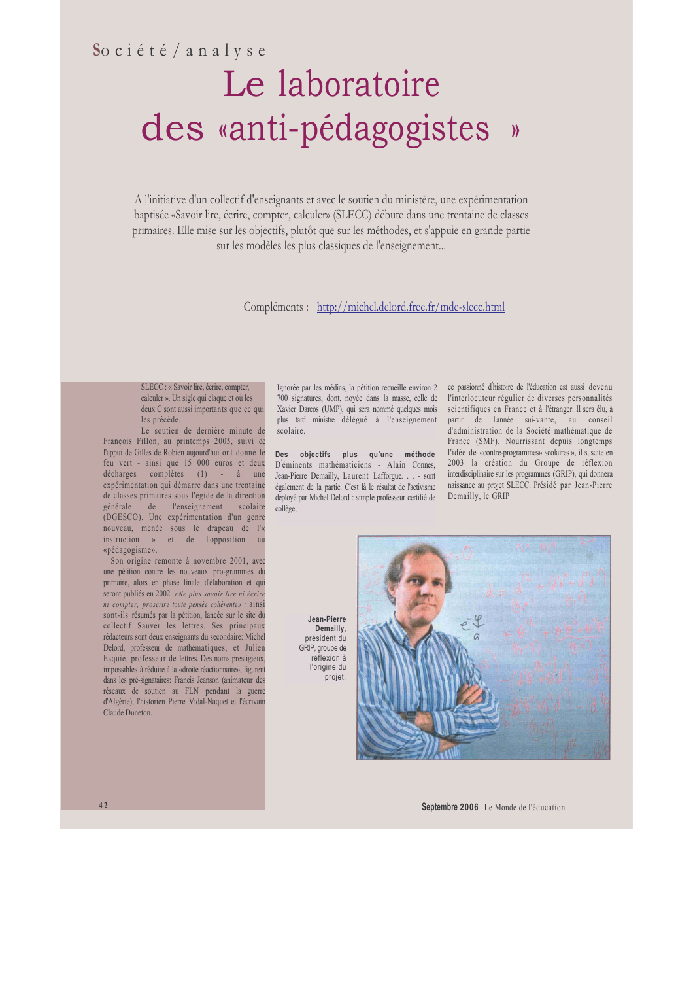# Société/analyse Le laboratoire des «anti-pédagogistes »

A l'initiative d'un collectif d'enseignants et avec le soutien du ministère, une expérimentation baptisée «Savoir lire, écrire, compter, calculer» (SLECC) débute dans une trentaine de classes primaires. Elle mise sur les objectifs, plutôt que sur les méthodes, et s'appuie en grande partie sur les modèles les plus classiques de l'enseignement...

#### Compléments : http://michel.delord.free.fr/mde-slecc.html

SLECC : « Savoir lire, écrire, compter, calculer ». Un sigle qui claque et où les deux C sont aussi importants que ce qui les précède.

Le soutien de dernière minute de François Fillon, au printemps 2005, suivi de l'appui de Gilles de Robien aujourd'hui ont donné le feu vert - ainsi que 15 000 euros et deux décharges complètes (1) - à une expérimentation qui démarre dans une trentaine de classes primaires sous l'égide de la direction générale de l'enseignement scolaire (DGESCO). Une expérimentation d'un genre nouveau, menée sous le drapeau de l'« instruction » et de l'opposition au «pédagogisme».

Son origine remonte à novembre 2001, avec une pétition contre les nouveaux pro-grammes du primaire, alors en phase finale d'élaboration et qui seront publiés en 2002. «Ne plus savoir lire ni écrire ni compter, proscrire toute pensée cohérente» : ainsi sont-ils résumés par la pétition, lancée sur le site du collectif Sauver les lettres. Ses principaux rédacteurs sont deux enseignants du secondaire: Michel Delord, professeur de mathématiques, et Julien Esquié, professeur de lettres. Des noms prestigieux. impossibles à réduire à la «droite réactionnaire», figurent dans les pré-signataires: Francis Jeanson (animateur des réseaux de soutien au FLN pendant la guerre d'Algérie), l'historien Pierre Vidal-Naquet et l'écrivain Claude Duneton

scolaire.

Des objectifs plus qu'une méthode Déminents mathématiciens - Alain Connes, Jean-Pierre Demailly, Laurent Lafforgue. . . - sont également de la partie. C'est là le résultat de l'activisme déployé par Michel Delord : simple professeur certifié de collège.

Ignorée par les médias, la pétition recueille environ 2 ce passionné d'histoire de l'éducation est aussi devenu 700 signatures, dont, noyée dans la masse, celle de l'interlocuteur régulier de diverses personnalités Xavier Darcos (UMP), qui sera nommé quelques mois scientifiques en France et à l'étranger. Il sera élu, à plus tard ministre délégué à l'enseignement partir de l'année sui-vante, au conseil d'administration de la Société mathématique de France (SMF). Nourrissant depuis longtemps l'idée de «contre-programmes» scolaires », il suscite en 2003 la création du Groupe de réflexion interdisciplinaire sur les programmes (GRIP), qui donnera naissance au projet SLECC. Présidé par Jean-Pierre Demailly, le GRIP

Jean-Pierre Demailly. président du GRIP, groupe de réflexion à l'origine du projet.



Septembre 2006 Le Monde de l'éducation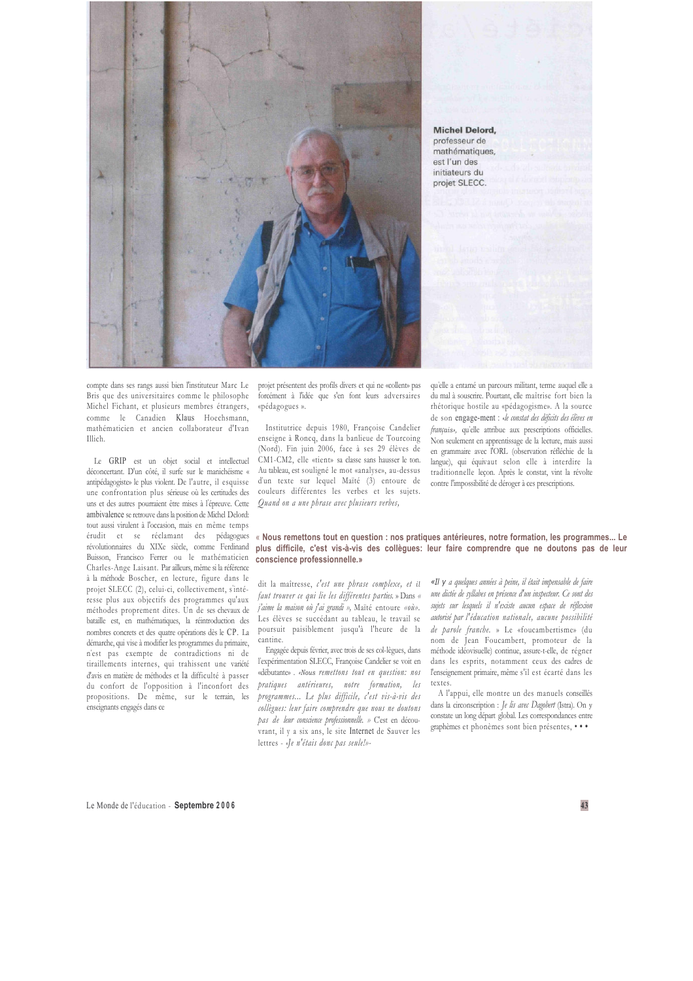

Michel Delord, professeur de .<br>mathématiques, est l'un des initiateurs du projet SLECC

compte dans ses rangs aussi bien l'instituteur Marc Le Bris que des universitaires comme le philosophe Michel Fichant, et plusieurs membres étrangers, comme le Canadien Klaus Hoechsmann, mathématicien et ancien collaborateur d'Ivan Illich.

Le GRIP est un objet social et intellectuel déconcertant. D'un côté, il surfe sur le manichéisme « antipédagogiste» le plus violent. De l'autre, il esquisse une confrontation plus sérieuse où les certitudes des uns et des autres pourraient être mises à l'épreuve. Cette ambivalence se retrouve dans la position de Michel Delord: tout aussi virulent à l'occasion, mais en même temps érudit et se réclamant des pédagogues révolutionnaires du XIXe siècle, comme Ferdinand Buisson, Francisco Ferrer ou le mathématicien Charles-Ange Laisant. Par ailleurs, même si la référence à la méthode Boscher, en lecture, figure dans le projet SLECC (2), celui-ci, collectivement, s'intéresse plus aux objectifs des programmes qu'aux méthodes proprement dites. Un de ses chevaux de bataille est, en mathématiques, la réintroduction des nombres concrets et des quatre opérations dès le CP. La démarche, qui vise à modifier les programmes du primaire, n'est pas exempte de contradictions ni de tiraillements internes, qui trahissent une variété d'avis en matière de méthodes et la difficulté à passer du confort de l'opposition à l'inconfort des propositions. De même, sur le terrain, les enseignants engagés dans ce

projet présentent des profils divers et qui ne «collent» pas forcément à l'idée que s'en font leurs adversaires «pédagogues».

Institutrice depuis 1980, Françoise Candelier enseigne à Roncq, dans la banlieue de Tourcoing (Nord). Fin juin 2006, face à ses 29 élèves de CM1-CM2, elle «tient» sa classe sans hausser le ton. Au tableau, est souligné le mot «analyse», au-dessus d'un texte sur lequel Maïté (3) entoure de couleurs différentes les verbes et les sujets. Quand on a une phrase avec plusieurs verbes,

qu'elle a entamé un parcours militant, terme auquel elle a du mal à souscrire. Pourtant, elle maîtrise fort bien la rhétorique hostile au «pédagogisme». A la source de son engage-ment : «le constat des déficits des élèves en français», qu'elle attribue aux prescriptions officielles. Non seulement en apprentissage de la lecture, mais aussi en grammaire avec l'ORL (observation réfléchie de la langue), qui équivaut selon elle à interdire la traditionnelle leçon. Après le constat, vint la révolte contre l'impossibilité de déroger à ces prescriptions.

#### « Nous remettons tout en question : nos pratiques antérieures, notre formation, les programmes... Le plus difficile, c'est vis-à-vis des collègues: leur faire comprendre que ne doutons pas de leur conscience professionnelle.»

dit la maîtresse, c'est une phrase complexe, et il faut trouver ce qui lie les différentes parties. » Dans « i'aime la maison où j'ai grandi », Maïté entoure «où». Les élèves se succédant au tableau, le travail se poursuit paisiblement jusqu'à l'heure de la cantine.

Engagée depuis février, avec trois de ses col-lègues, dans l'expérimentation SLECC, Françoise Candelier se voit en «débutante». «Nous remettons tout en question: nos pratiques antérieures, notre formation, les programmes... Le plus difficile, c'est vis-à-vis des collègues: leur faire comprendre que nous ne doutons pas de leur conscience professionnelle. » C'est en découvrant, il y a six ans, le site Internet de Sauver les lettres - «Je n'étais donc pas seule!»-

«Il y a quelques années à peine, il était impensable de faire une dictée de syllabes en présence d'un inspecteur. Ce sont des sujets sur lesquels il n'existe aucun espace de réflexion autorisé par l'éducation nationale, aucune possibilité de parole franche. » Le «foucambertisme» (du nom de Jean Foucambert, promoteur de la méthode idéovisuelle) continue, assure-t-elle, de régner dans les esprits, notamment ceux des cadres de l'enseignement primaire, même s'il est écarté dans les textes.

A l'appui, elle montre un des manuels conseillés dans la circonscription : Je lis avec Dagobert (Istra). On v constate un long départ global. Les correspondances entre graphèmes et phonèmes sont bien présentes. . .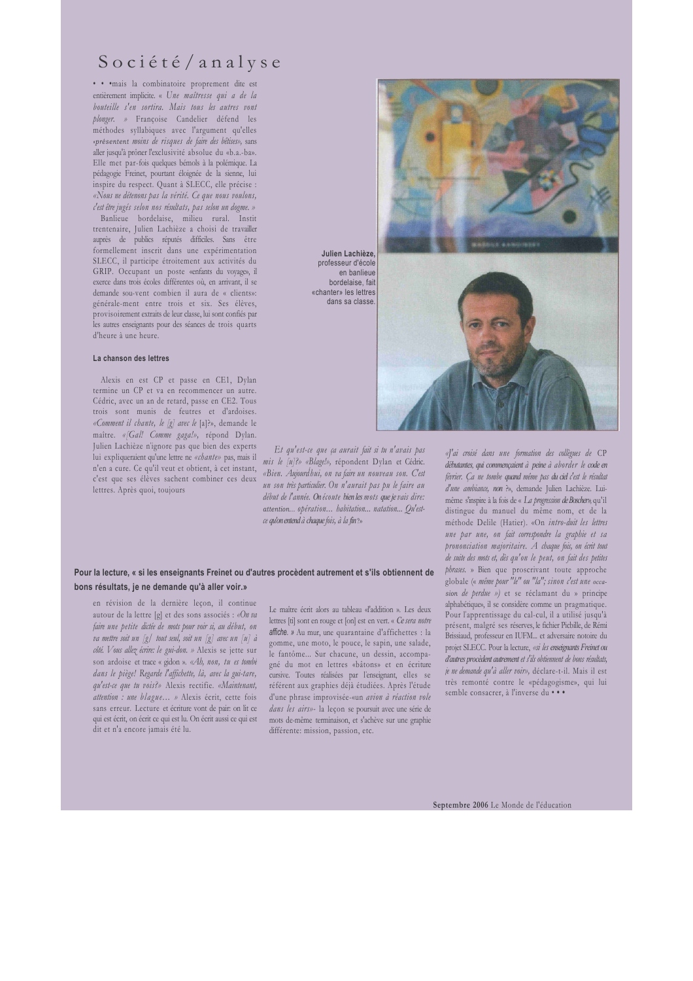## Société/analyse

· · · mais la combinatoire proprement dite est entièrement implicite. « Une maîtresse qui a de la bouteille s'en sortira. Mais tous les autres vont plonger. » Françoise Candelier défend les méthodes syllabiques avec l'argument qu'elles «présentent moins de risques de faire des bêtises», sans aller jusqu'à prôner l'exclusivité absolue du «b.a.-ba». Elle met par-fois quelques bémols à la polémique. La pédagogie Freinet, pourtant éloignée de la sienne, lui inspire du respect. Quant à SLECC, elle précise : «Nous ne détenons pas la vérité. Ce que nous voulons, c'est être jugés selon nos résultats, pas selon un dogme. »

Banlieue bordelaise, milieu rural. Instit trentenaire, Julien Lachièze a choisi de travailler auprès de publics réputés difficiles. Sans être formellement inscrit dans une expérimentation SLECC, il participe étroitement aux activités du GRIP. Occupant un poste «enfants du voyage», il exerce dans trois écoles différentes où, en arrivant, il se demande sou-vent combien il aura de « clients»: générale-ment entre trois et six. Ses élèves, provisoirement extraits de leur classe, lui sont confiés par les autres enseignants pour des séances de trois quarts d'heure à une heure.

#### La chanson des lettres

Alexis en est CP et passe en CE1, Dylan termine un CP et va en recommencer un autre. Cédric, avec un an de retard, passe en CE2. Tous trois sont munis de feutres et d'ardoises. «Comment il chante, le [g] avec le [a]?», demande le maître. «/Gal! Comme gaga!», répond Dylan. Julien Lachièze n'ignore pas que bien des experts lui expliqueraient qu'une lettre ne «chante» pas, mais il n'en a cure. Ce qu'il veut et obtient, à cet instant, «Bien. Aujourdhui, on va faire un nouveau son. C'est c'est que ses élèves sachent combiner ces deux lettres. Après quoi, toujours

professeur d'école en banlieur bordelaise fait «chanter» les lettres dans sa classe

Et qu'est-ce que ça aurait fait si tu n'avais pas mis le  $[u]$ ?» «Blage!», répondent Dylan et Cédric. un son très particulier. On n'aurait pas pu le faire au début de l'année. On écoute bien les mots que je vais dire: attention... opération... habitation... natation... Qu'estce qu'on entend à chaque fois, à la fin?»

#### Pour la lecture, « si les enseignants Freinet ou d'autres procèdent autrement et s'ils obtiennent de bons résultats, je ne demande qu'à aller voir.»

en révision de la dernière leçon, il continue autour de la lettre [g] et des sons associés : «On va faire une petite dictée de mots pour voir si, au début, on va mettre soit un  $[g]$  tout seul, soit un  $[g]$  avec un  $[u]$  à côté. Vous allez écrire: le gui-don. » Alexis se jette sur son ardoise et trace « gidon ». «Ah, non, tu es tombé dans le piège! Regarde l'affichette, là, avec la gui-tare, qu'est-ce que tu vois?» Alexis rectifie. «Maintenant, attention : une blague... » Alexis écrit, cette fois sans erreur. Lecture et écriture vont de pair: on lit ce qui est écrit, on écrit ce qui est lu. On écrit aussi ce qui est dit et n'a encore jamais été lu.

Le maître écrit alors au tableau «l'addition ». Les deux lettres [ti] sont en rouge et [on] est en vert. « Ce sera notre affiche. » Au mur, une quarantaine d'affichettes : la gomme, une moto, le pouce, le sapin, une salade, le fantôme... Sur chacune, un dessin, accompagné du mot en lettres «bâtons» et en écriture cursive. Toutes réalisées par l'enseignant, elles se référent aux graphies déjà étudiées. Après l'étude d'une phrase improvisée-«un avion à réaction vole dans les airs»- la leçon se poursuit avec une série de mots de-même terminaison, et s'achève sur une graphie différente: mission, passion, etc.



Julien Lachièze



Septembre 2006 Le Monde de l'éducation